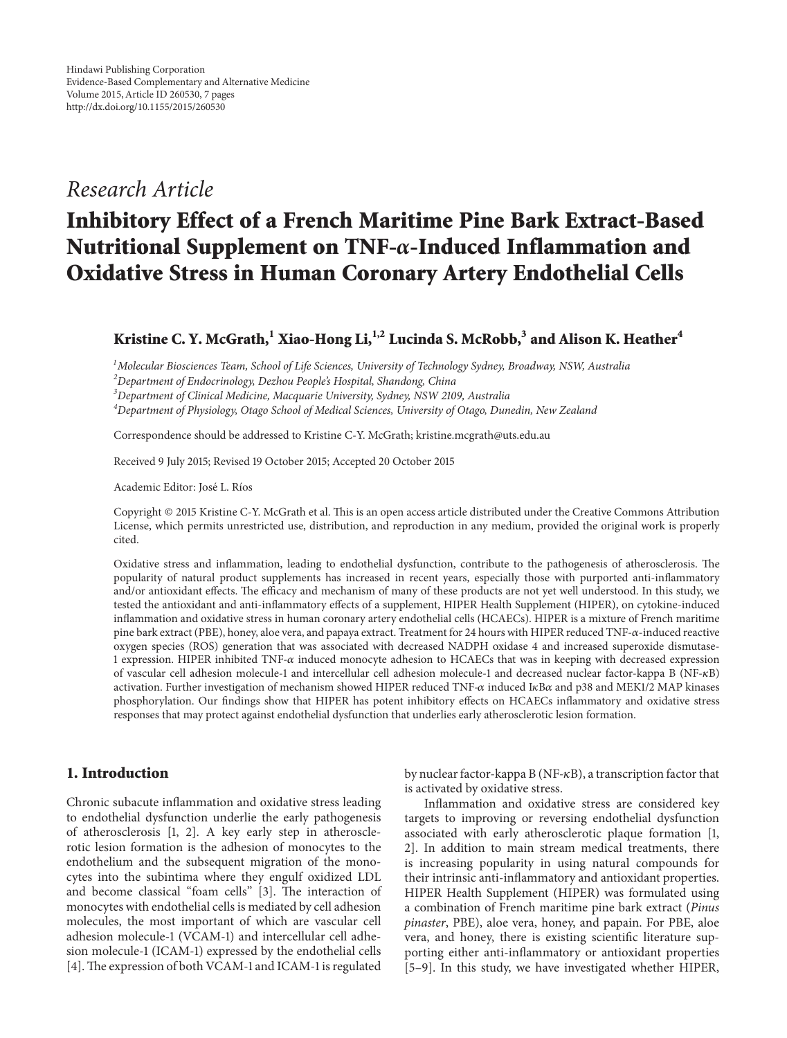# *Research Article*

# **Inhibitory Effect of a French Maritime Pine Bark Extract-Based Nutritional Supplement on TNF-α-Induced Inflammation and Oxidative Stress in Human Coronary Artery Endothelial Cells**

**Kristine C. Y. McGrath,1 Xiao-Hong Li,1,2 Lucinda S. McRobb,<sup>3</sup> and Alison K. Heather<sup>4</sup>**

*1 Molecular Biosciences Team, School of Life Sciences, University of Technology Sydney, Broadway, NSW, Australia*

*2 Department of Endocrinology, Dezhou People's Hospital, Shandong, China*

*3 Department of Clinical Medicine, Macquarie University, Sydney, NSW 2109, Australia*

*4 Department of Physiology, Otago School of Medical Sciences, University of Otago, Dunedin, New Zealand*

Correspondence should be addressed to Kristine C-Y. McGrath; kristine.mcgrath@uts.edu.au

Received 9 July 2015; Revised 19 October 2015; Accepted 20 October 2015

Academic Editor: José L. Ríos

Copyright © 2015 Kristine C-Y. McGrath et al. This is an open access article distributed under the Creative Commons Attribution License, which permits unrestricted use, distribution, and reproduction in any medium, provided the original work is properly cited.

Oxidative stress and inflammation, leading to endothelial dysfunction, contribute to the pathogenesis of atherosclerosis. The popularity of natural product supplements has increased in recent years, especially those with purported anti-inflammatory and/or antioxidant effects. The efficacy and mechanism of many of these products are not yet well understood. In this study, we tested the antioxidant and anti-inflammatory effects of a supplement, HIPER Health Supplement (HIPER), on cytokine-induced inflammation and oxidative stress in human coronary artery endothelial cells (HCAECs). HIPER is a mixture of French maritime pine bark extract (PBE), honey, aloe vera, and papaya extract. Treatment for 24 hours with HIPER reduced TNF- $\alpha$ -induced reactive oxygen species (ROS) generation that was associated with decreased NADPH oxidase 4 and increased superoxide dismutase-1 expression. HIPER inhibited TNF- $\alpha$  induced monocyte adhesion to HCAECs that was in keeping with decreased expression of vascular cell adhesion molecule-1 and intercellular cell adhesion molecule-1 and decreased nuclear factor-kappa B (NF-B) activation. Further investigation of mechanism showed HIPER reduced TNF- $\alpha$  induced I $\kappa$ B $\alpha$  and p38 and MEK1/2 MAP kinases phosphorylation. Our findings show that HIPER has potent inhibitory effects on HCAECs inflammatory and oxidative stress responses that may protect against endothelial dysfunction that underlies early atherosclerotic lesion formation.

# **1. Introduction**

Chronic subacute inflammation and oxidative stress leading to endothelial dysfunction underlie the early pathogenesis of atherosclerosis [1, 2]. A key early step in atherosclerotic lesion formation is the adhesion of monocytes to the endothelium and the subsequent migration of the monocytes into the subintima where they engulf oxidized LDL and become classical "foam cells" [3]. The interaction of monocytes with endothelial cells is mediated by cell adhesion molecules, the most important of which are vascular cell adhesion molecule-1 (VCAM-1) and intercellular cell adhesion molecule-1 (ICAM-1) expressed by the endothelial cells [4].The expression of both VCAM-1 and ICAM-1 is regulated

by nuclear factor-kappa B (NF- $\kappa$ B), a transcription factor that is activated by oxidative stress.

Inflammation and oxidative stress are considered key targets to improving or reversing endothelial dysfunction associated with early atherosclerotic plaque formation [1, 2]. In addition to main stream medical treatments, there is increasing popularity in using natural compounds for their intrinsic anti-inflammatory and antioxidant properties. HIPER Health Supplement (HIPER) was formulated using a combination of French maritime pine bark extract (*Pinus pinaster*, PBE), aloe vera, honey, and papain. For PBE, aloe vera, and honey, there is existing scientific literature supporting either anti-inflammatory or antioxidant properties [5–9]. In this study, we have investigated whether HIPER,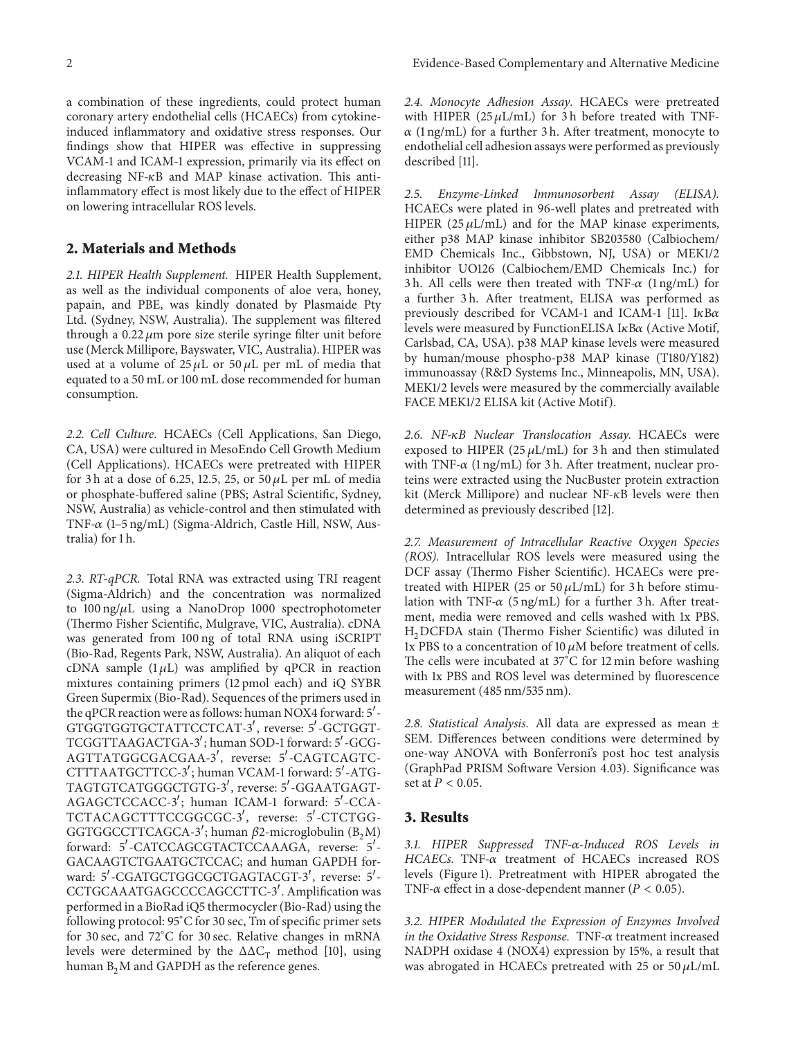a combination of these ingredients, could protect human coronary artery endothelial cells (HCAECs) from cytokineinduced inflammatory and oxidative stress responses. Our findings show that HIPER was effective in suppressing VCAM-1 and ICAM-1 expression, primarily via its effect on decreasing  $NF-\kappa B$  and MAP kinase activation. This antiinflammatory effect is most likely due to the effect of HIPER

#### **2. Materials and Methods**

on lowering intracellular ROS levels.

*2.1. HIPER Health Supplement.* HIPER Health Supplement, as well as the individual components of aloe vera, honey, papain, and PBE, was kindly donated by Plasmaide Pty Ltd. (Sydney, NSW, Australia). The supplement was filtered through a  $0.22 \mu m$  pore size sterile syringe filter unit before use (Merck Millipore, Bayswater, VIC, Australia). HIPER was used at a volume of  $25 \mu L$  or  $50 \mu L$  per mL of media that equated to a 50 mL or 100 mL dose recommended for human consumption.

*2.2. Cell Culture.* HCAECs (Cell Applications, San Diego, CA, USA) were cultured in MesoEndo Cell Growth Medium (Cell Applications). HCAECs were pretreated with HIPER for 3 h at a dose of 6.25, 12.5, 25, or 50  $\mu$ L per mL of media or phosphate-buffered saline (PBS; Astral Scientific, Sydney, NSW, Australia) as vehicle-control and then stimulated with TNF- $\alpha$  (1–5 ng/mL) (Sigma-Aldrich, Castle Hill, NSW, Australia) for 1 h.

*2.3. RT-qPCR.* Total RNA was extracted using TRI reagent (Sigma-Aldrich) and the concentration was normalized to  $100 \text{ ng}/\mu\text{L}$  using a NanoDrop 1000 spectrophotometer (Thermo Fisher Scientific, Mulgrave, VIC, Australia). cDNA was generated from 100 ng of total RNA using iSCRIPT (Bio-Rad, Regents Park, NSW, Australia). An aliquot of each cDNA sample  $(1 \mu L)$  was amplified by qPCR in reaction mixtures containing primers (12 pmol each) and iQ SYBR Green Supermix (Bio-Rad). Sequences of the primers used in the qPCR reaction were as follows: human NOX4 forward: 5'-GTGGTGGTGCTATTCCTCAT-3 , reverse: 5 -GCTGGT-TCGGTTAAGACTGA-3 ; human SOD-1 forward: 5 -GCG-AGTTATGGCGACGAA-3 , reverse: 5 -CAGTCAGTC-CTTTAATGCTTCC-3 ; human VCAM-1 forward: 5 -ATG-TAGTGTCATGGGCTGTG-3 , reverse: 5 -GGAATGAGT-AGAGCTCCACC-3 ; human ICAM-1 forward: 5 -CCA-TCTACAGCTTTCCGGCGC-3 , reverse: 5 -CTCTGG-GGTGGCCTTCAGCA-3'; human  $\beta$ 2-microglobulin (B<sub>2</sub>M) forward: 5'-CATCCAGCGTACTCCAAAGA, reverse: 5'-GACAAGTCTGAATGCTCCAC; and human GAPDH forward: 5 -CGATGCTGGCGCTGAGTACGT-3 , reverse: 5 - CCTGCAAATGAGCCCCAGCCTTC-3 . Amplification was performed in a BioRad iQ5 thermocycler (Bio-Rad) using the following protocol: 95<sup>∘</sup> C for 30 sec, Tm of specific primer sets for 30 sec, and 72<sup>∘</sup> C for 30 sec. Relative changes in mRNA levels were determined by the  $\Delta \Delta C_T$  method [10], using human  $B_2M$  and GAPDH as the reference genes.

*2.4. Monocyte Adhesion Assay.* HCAECs were pretreated with HIPER  $(25 \mu L/mL)$  for 3h before treated with TNF- $\alpha$  (1 ng/mL) for a further 3 h. After treatment, monocyte to endothelial cell adhesion assays were performed as previously described [11].

*2.5. Enzyme-Linked Immunosorbent Assay (ELISA).* HCAECs were plated in 96-well plates and pretreated with HIPER (25  $\mu$ L/mL) and for the MAP kinase experiments, either p38 MAP kinase inhibitor SB203580 (Calbiochem/ EMD Chemicals Inc., Gibbstown, NJ, USA) or MEK1/2 inhibitor UO126 (Calbiochem/EMD Chemicals Inc.) for 3h. All cells were then treated with TNF- $\alpha$  (1 ng/mL) for a further 3h. After treatment, ELISA was performed as previously described for VCAM-1 and ICAM-1 [11]. I $\kappa$ B $\alpha$ levels were measured by FunctionELISA  $I\kappa B\alpha$  (Active Motif, Carlsbad, CA, USA). p38 MAP kinase levels were measured by human/mouse phospho-p38 MAP kinase (T180/Y182) immunoassay (R&D Systems Inc., Minneapolis, MN, USA). MEK1/2 levels were measured by the commercially available FACE MEK1/2 ELISA kit (Active Motif).

*2.6. NF-B Nuclear Translocation Assay.* HCAECs were exposed to HIPER (25  $\mu$ L/mL) for 3 h and then stimulated with TNF- $\alpha$  (1 ng/mL) for 3 h. After treatment, nuclear proteins were extracted using the NucBuster protein extraction kit (Merck Millipore) and nuclear  $NF-\kappa B$  levels were then determined as previously described [12].

*2.7. Measurement of Intracellular Reactive Oxygen Species (ROS).* Intracellular ROS levels were measured using the DCF assay (Thermo Fisher Scientific). HCAECs were pretreated with HIPER (25 or 50  $\mu$ L/mL) for 3 h before stimulation with TNF- $\alpha$  (5 ng/mL) for a further 3 h. After treatment, media were removed and cells washed with 1x PBS. H<sub>2</sub>DCFDA stain (Thermo Fisher Scientific) was diluted in 1x PBS to a concentration of 10  $\mu$ M before treatment of cells. The cells were incubated at 37<sup>∘</sup> C for 12 min before washing with 1x PBS and ROS level was determined by fluorescence measurement (485 nm/535 nm).

*2.8. Statistical Analysis.* All data are expressed as mean ± SEM. Differences between conditions were determined by one-way ANOVA with Bonferroni's post hoc test analysis (GraphPad PRISM Software Version 4.03). Significance was set at  $P < 0.05$ .

## **3. Results**

*3.1. HIPER Suppressed TNF--Induced ROS Levels in*  $HCAECs$ . TNF- $\alpha$  treatment of HCAECs increased ROS levels (Figure 1). Pretreatment with HIPER abrogated the TNF- $\alpha$  effect in a dose-dependent manner ( $P < 0.05$ ).

*3.2. HIPER Modulated the Expression of Enzymes Involved in the Oxidative Stress Response.* TNF- $\alpha$  treatment increased NADPH oxidase 4 (NOX4) expression by 15%, a result that was abrogated in HCAECs pretreated with 25 or 50  $\mu$ L/mL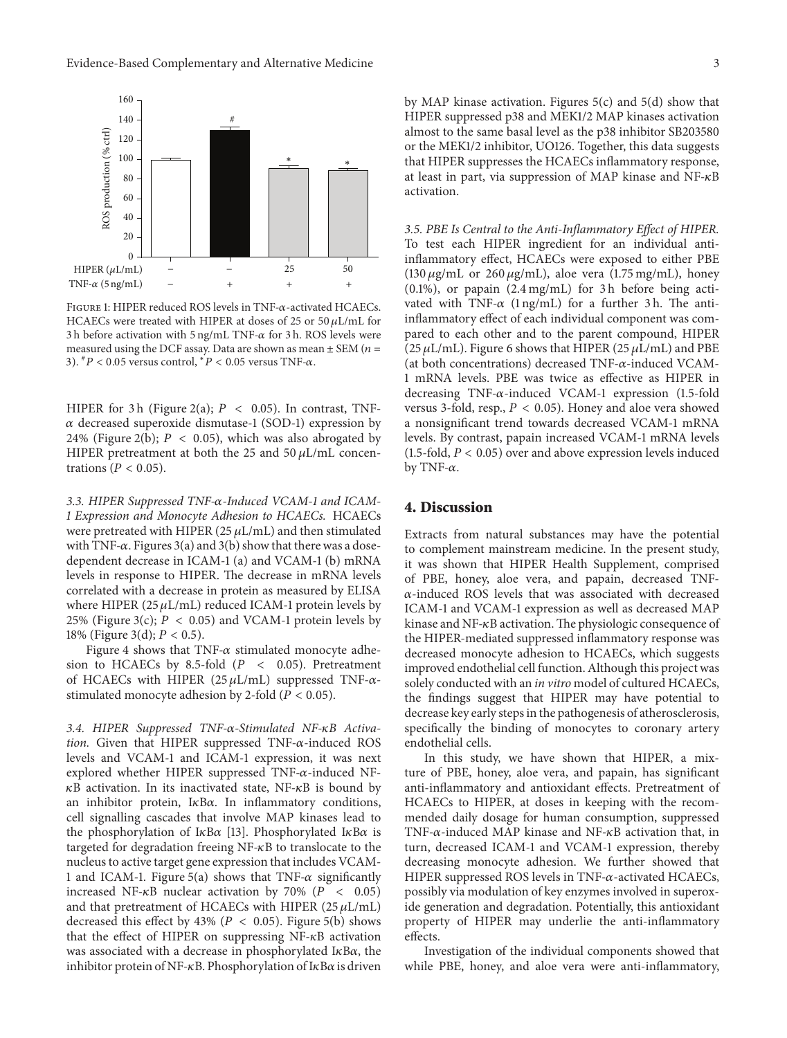

FIGURE 1: HIPER reduced ROS levels in TNF- $\alpha$ -activated HCAECs. HCAECs were treated with HIPER at doses of 25 or 50  $\mu$ L/mL for 3 h before activation with 5 ng/mL TNF- $\alpha$  for 3 h. ROS levels were measured using the DCF assay. Data are shown as mean  $\pm$  SEM ( $n =$ 3).  ${}^{*}P$  < 0.05 versus control,  ${}^{*}P$  < 0.05 versus TNF- $\alpha$ .

HIPER for 3 h (Figure 2(a);  $P < 0.05$ ). In contrast, TNF- $\alpha$  decreased superoxide dismutase-1 (SOD-1) expression by 24% (Figure 2(b);  $P < 0.05$ ), which was also abrogated by HIPER pretreatment at both the 25 and 50  $\mu$ L/mL concentrations ( $P < 0.05$ ).

*3.3. HIPER Suppressed TNF--Induced VCAM-1 and ICAM-1 Expression and Monocyte Adhesion to HCAECs.* HCAECs were pretreated with HIPER (25  $\mu$ L/mL) and then stimulated with TNF- $\alpha$ . Figures 3(a) and 3(b) show that there was a dosedependent decrease in ICAM-1 (a) and VCAM-1 (b) mRNA levels in response to HIPER. The decrease in mRNA levels correlated with a decrease in protein as measured by ELISA where HIPER (25  $\mu$ L/mL) reduced ICAM-1 protein levels by 25% (Figure 3(c);  $P < 0.05$ ) and VCAM-1 protein levels by 18% (Figure 3(d);  $P < 0.5$ ).

Figure 4 shows that TNF- $\alpha$  stimulated monocyte adhesion to HCAECs by 8.5-fold ( $P \lt 0.05$ ). Pretreatment of HCAECs with HIPER (25  $\mu$ L/mL) suppressed TNF- $\alpha$ stimulated monocyte adhesion by 2-fold ( $P < 0.05$ ).

*3.4. HIPER Suppressed TNF--Stimulated NF-B Activation.* Given that HIPER suppressed  $TNF-\alpha$ -induced ROS levels and VCAM-1 and ICAM-1 expression, it was next explored whether HIPER suppressed TNF- $\alpha$ -induced NF- $\kappa$ B activation. In its inactivated state, NF- $\kappa$ B is bound by an inhibitor protein,  $I\kappa B\alpha$ . In inflammatory conditions, cell signalling cascades that involve MAP kinases lead to the phosphorylation of I $\kappa$ B $\alpha$  [13]. Phosphorylated I $\kappa$ B $\alpha$  is targeted for degradation freeing  $NF- $\kappa$ B$  to translocate to the nucleus to active target gene expression that includes VCAM-1 and ICAM-1. Figure 5(a) shows that TNF- $\alpha$  significantly increased NF- $\kappa$ B nuclear activation by 70% ( $P < 0.05$ ) and that pretreatment of HCAECs with HIPER (25  $\mu$ L/mL) decreased this effect by 43% ( $P < 0.05$ ). Figure 5(b) shows that the effect of HIPER on suppressing  $NF-\kappa B$  activation was associated with a decrease in phosphorylated I $\kappa$ B $\alpha$ , the inhibitor protein of NF- $\kappa$ B. Phosphorylation of I $\kappa$ B $\alpha$  is driven by MAP kinase activation. Figures  $5(c)$  and  $5(d)$  show that HIPER suppressed p38 and MEK1/2 MAP kinases activation almost to the same basal level as the p38 inhibitor SB203580 or the MEK1/2 inhibitor, UO126. Together, this data suggests that HIPER suppresses the HCAECs inflammatory response, at least in part, via suppression of MAP kinase and NF- $\kappa$ B activation.

*3.5. PBE Is Central to the Anti-Inflammatory Effect of HIPER.* To test each HIPER ingredient for an individual antiinflammatory effect, HCAECs were exposed to either PBE (130  $\mu$ g/mL or 260  $\mu$ g/mL), aloe vera (1.75 mg/mL), honey  $(0.1\%)$ , or papain  $(2.4 \text{ mg/mL})$  for 3h before being activated with TNF- $\alpha$  (1 ng/mL) for a further 3 h. The antiinflammatory effect of each individual component was compared to each other and to the parent compound, HIPER  $(25 \,\mu L/mL)$ . Figure 6 shows that HIPER  $(25 \,\mu L/mL)$  and PBE (at both concentrations) decreased TNF- $\alpha$ -induced VCAM-1 mRNA levels. PBE was twice as effective as HIPER in decreasing TNF- $\alpha$ -induced VCAM-1 expression (1.5-fold versus 3-fold, resp.,  $P < 0.05$ ). Honey and aloe vera showed a nonsignificant trend towards decreased VCAM-1 mRNA levels. By contrast, papain increased VCAM-1 mRNA levels (1.5-fold,  $P < 0.05$ ) over and above expression levels induced by TNF- $\alpha$ .

### **4. Discussion**

Extracts from natural substances may have the potential to complement mainstream medicine. In the present study, it was shown that HIPER Health Supplement, comprised of PBE, honey, aloe vera, and papain, decreased TNF-  $\alpha$ -induced ROS levels that was associated with decreased ICAM-1 and VCAM-1 expression as well as decreased MAP kinase and NF- $\kappa$ B activation. The physiologic consequence of the HIPER-mediated suppressed inflammatory response was decreased monocyte adhesion to HCAECs, which suggests improved endothelial cell function. Although this project was solely conducted with an *in vitro* model of cultured HCAECs, the findings suggest that HIPER may have potential to decrease key early steps in the pathogenesis of atherosclerosis, specifically the binding of monocytes to coronary artery endothelial cells.

In this study, we have shown that HIPER, a mixture of PBE, honey, aloe vera, and papain, has significant anti-inflammatory and antioxidant effects. Pretreatment of HCAECs to HIPER, at doses in keeping with the recommended daily dosage for human consumption, suppressed TNF- $\alpha$ -induced MAP kinase and NF- $\kappa$ B activation that, in turn, decreased ICAM-1 and VCAM-1 expression, thereby decreasing monocyte adhesion. We further showed that HIPER suppressed ROS levels in TNF- $\alpha$ -activated HCAECs, possibly via modulation of key enzymes involved in superoxide generation and degradation. Potentially, this antioxidant property of HIPER may underlie the anti-inflammatory effects.

Investigation of the individual components showed that while PBE, honey, and aloe vera were anti-inflammatory,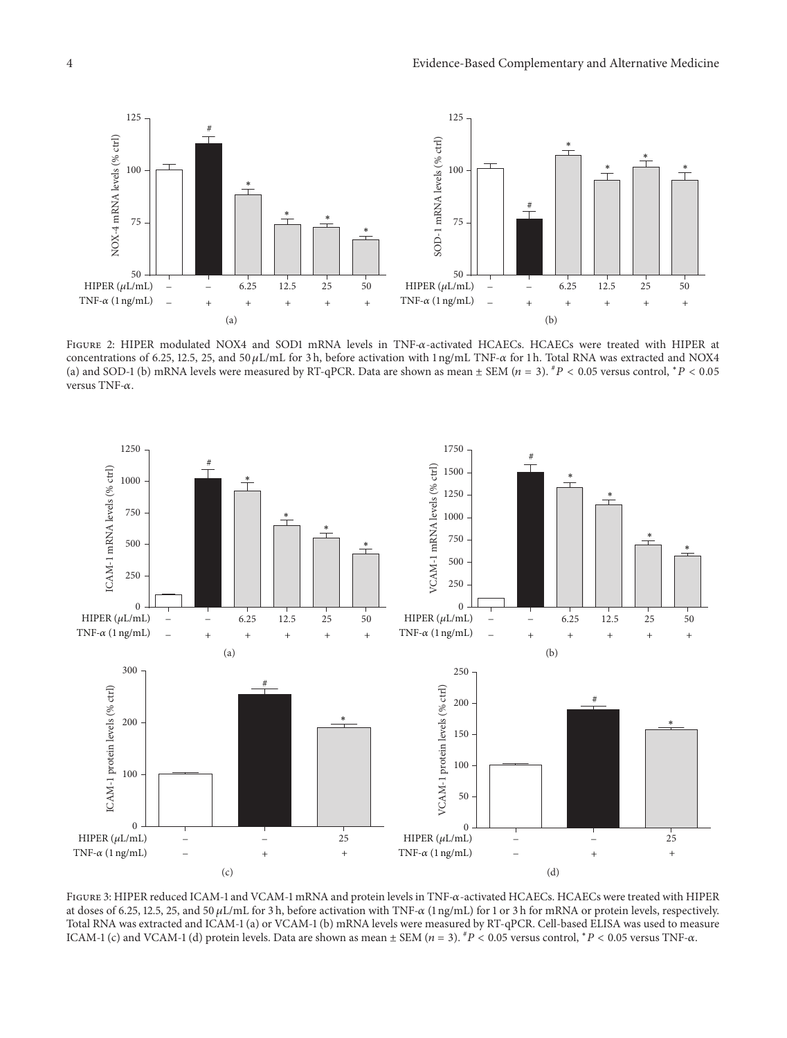

FIGURE 2: HIPER modulated NOX4 and SOD1 mRNA levels in TNF- $\alpha$ -activated HCAECs. HCAECs were treated with HIPER at concentrations of 6.25, 12.5, 25, and 50  $\mu$ L/mL for 3 h, before activation with 1 ng/mL TNF- $\alpha$  for 1 h. Total RNA was extracted and NOX4 (a) and SOD-1 (b) mRNA levels were measured by RT-qPCR. Data are shown as mean  $\pm$  SEM ( $n = 3$ ).  ${}^{#}P$  < 0.05 versus control,  ${}^{*}P$  < 0.05 versus TNF- $\alpha$ .



FIGURE 3: HIPER reduced ICAM-1 and VCAM-1 mRNA and protein levels in TNF- $\alpha$ -activated HCAECs. HCAECs were treated with HIPER at doses of 6.25, 12.5, 25, and 50  $\mu$ L/mL for 3 h, before activation with TNF- $\alpha$  (1 ng/mL) for 1 or 3 h for mRNA or protein levels, respectively. Total RNA was extracted and ICAM-1 (a) or VCAM-1 (b) mRNA levels were measured by RT-qPCR. Cell-based ELISA was used to measure ICAM-1 (c) and VCAM-1 (d) protein levels. Data are shown as mean  $\pm$  SEM ( $n = 3$ ).  $^{*}P < 0.05$  versus control,  $^{*}P < 0.05$  versus TNF- $\alpha$ .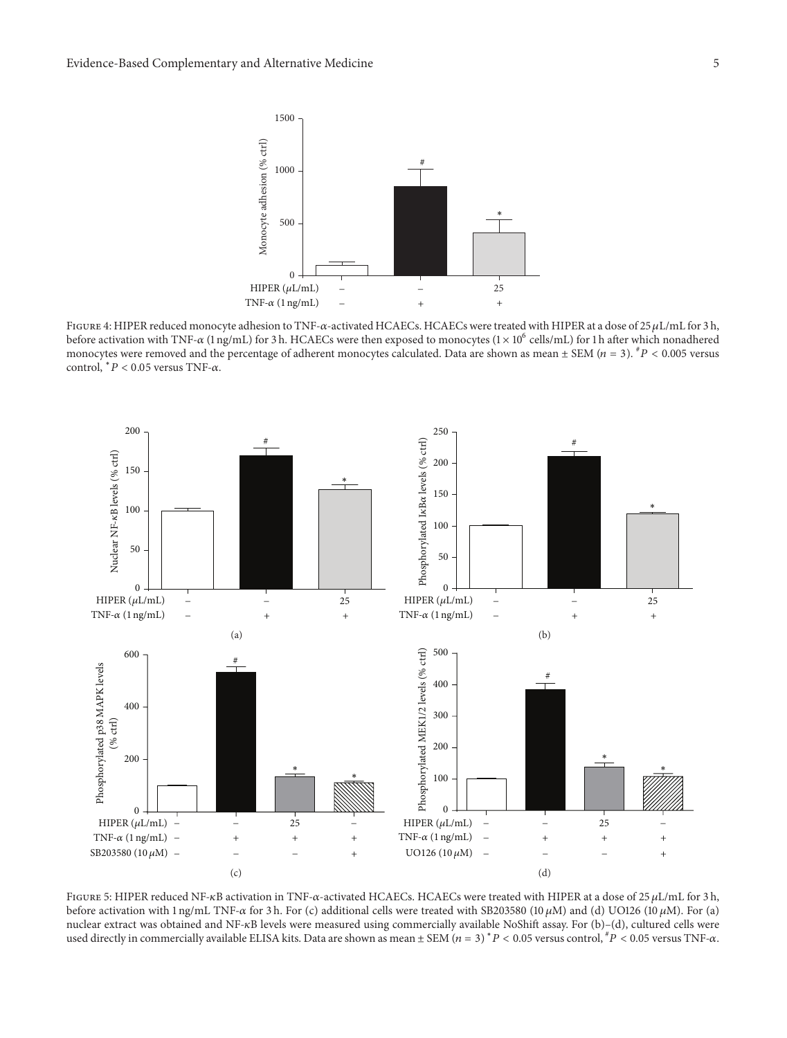

FIGURE 4: HIPER reduced monocyte adhesion to TNF- $\alpha$ -activated HCAECs. HCAECs were treated with HIPER at a dose of 25  $\mu$ L/mL for 3 h, before activation with TNF- $\alpha$  (1 ng/mL) for 3 h. HCAECs were then exposed to monocytes (1 × 10<sup>6</sup> cells/mL) for 1 h after which nonadhered monocytes were removed and the percentage of adherent monocytes calculated. Data are shown as mean  $\pm$  SEM ( $n = 3$ ).  $^{\#}P$  < 0.005 versus control,  $* P < 0.05$  versus TNF- $\alpha$ .



FIGURE 5: HIPER reduced NF-KB activation in TNF- $\alpha$ -activated HCAECs. HCAECs were treated with HIPER at a dose of 25 µL/mL for 3 h, before activation with 1 ng/mL TNF- $\alpha$  for 3 h. For (c) additional cells were treated with SB203580 (10  $\mu$ M) and (d) UO126 (10  $\mu$ M). For (a) nuclear extract was obtained and NF-KB levels were measured using commercially available NoShift assay. For (b)-(d), cultured cells were used directly in commercially available ELISA kits. Data are shown as mean  $\pm$  SEM  $(n = 3)$  \*  $P < 0.05$  versus control,  $\neq P < 0.05$  versus TNF- $\alpha$ .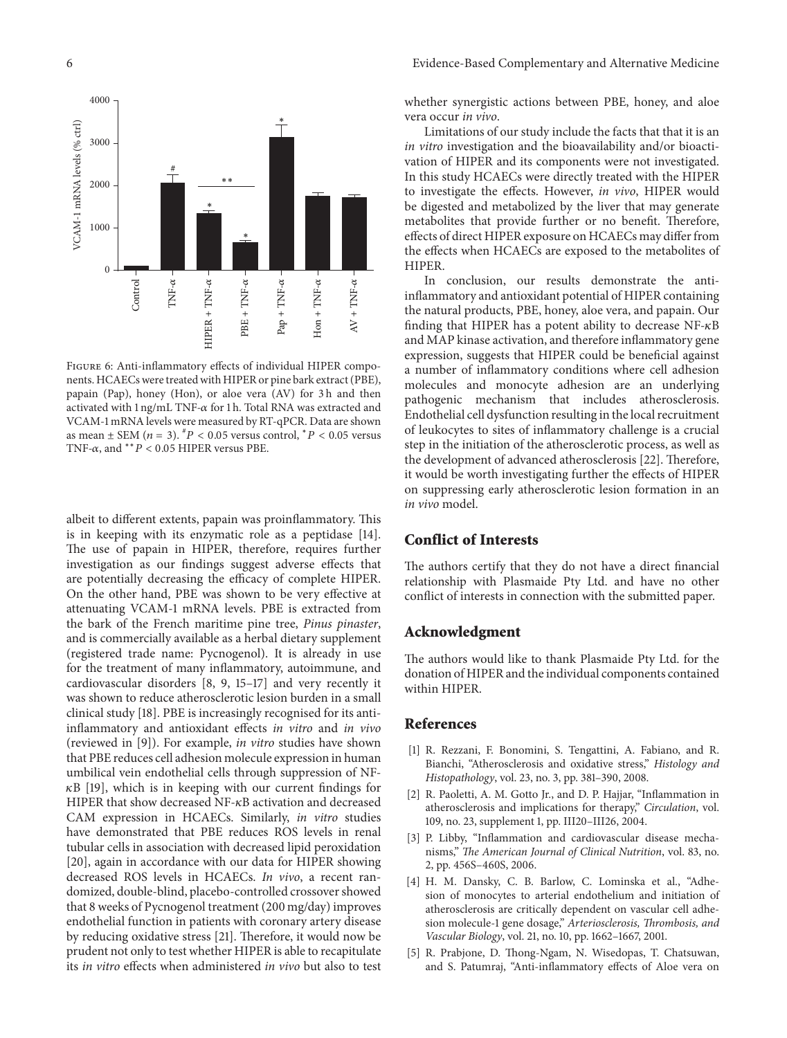

Figure 6: Anti-inflammatory effects of individual HIPER components. HCAECs were treated with HIPER or pine bark extract (PBE), papain (Pap), honey (Hon), or aloe vera (AV) for 3 h and then activated with  $1 \nmid q/mL$  TNF- $\alpha$  for 1 h. Total RNA was extracted and VCAM-1 mRNA levels were measured by RT-qPCR. Data are shown as mean  $\pm$  SEM ( $n = 3$ ).  ${}^{#}P$  < 0.05 versus control,  ${}^{*}P$  < 0.05 versus TNF- $\alpha$ , and  $*$ <sup>\*</sup>  $P$  < 0.05 HIPER versus PBE.

albeit to different extents, papain was proinflammatory. This is in keeping with its enzymatic role as a peptidase [14]. The use of papain in HIPER, therefore, requires further investigation as our findings suggest adverse effects that are potentially decreasing the efficacy of complete HIPER. On the other hand, PBE was shown to be very effective at attenuating VCAM-1 mRNA levels. PBE is extracted from the bark of the French maritime pine tree, *Pinus pinaster*, and is commercially available as a herbal dietary supplement (registered trade name: Pycnogenol). It is already in use for the treatment of many inflammatory, autoimmune, and cardiovascular disorders [8, 9, 15–17] and very recently it was shown to reduce atherosclerotic lesion burden in a small clinical study [18]. PBE is increasingly recognised for its antiinflammatory and antioxidant effects *in vitro* and *in vivo* (reviewed in [9]). For example, *in vitro* studies have shown that PBE reduces cell adhesion molecule expression in human umbilical vein endothelial cells through suppression of NF-  $\kappa$ B [19], which is in keeping with our current findings for HIPER that show decreased NF- $\kappa$ B activation and decreased CAM expression in HCAECs. Similarly, *in vitro* studies have demonstrated that PBE reduces ROS levels in renal tubular cells in association with decreased lipid peroxidation [20], again in accordance with our data for HIPER showing decreased ROS levels in HCAECs. *In vivo*, a recent randomized, double-blind, placebo-controlled crossover showed that 8 weeks of Pycnogenol treatment (200 mg/day) improves endothelial function in patients with coronary artery disease by reducing oxidative stress [21]. Therefore, it would now be prudent not only to test whether HIPER is able to recapitulate its *in vitro* effects when administered *in vivo* but also to test

whether synergistic actions between PBE, honey, and aloe vera occur *in vivo*.

Limitations of our study include the facts that that it is an *in vitro* investigation and the bioavailability and/or bioactivation of HIPER and its components were not investigated. In this study HCAECs were directly treated with the HIPER to investigate the effects. However, *in vivo*, HIPER would be digested and metabolized by the liver that may generate metabolites that provide further or no benefit. Therefore, effects of direct HIPER exposure on HCAECs may differ from the effects when HCAECs are exposed to the metabolites of HIPER.

In conclusion, our results demonstrate the antiinflammatory and antioxidant potential of HIPER containing the natural products, PBE, honey, aloe vera, and papain. Our finding that HIPER has a potent ability to decrease  $NF-\kappa B$ and MAP kinase activation, and therefore inflammatory gene expression, suggests that HIPER could be beneficial against a number of inflammatory conditions where cell adhesion molecules and monocyte adhesion are an underlying pathogenic mechanism that includes atherosclerosis. Endothelial cell dysfunction resulting in the local recruitment of leukocytes to sites of inflammatory challenge is a crucial step in the initiation of the atherosclerotic process, as well as the development of advanced atherosclerosis [22]. Therefore, it would be worth investigating further the effects of HIPER on suppressing early atherosclerotic lesion formation in an *in vivo* model.

# **Conflict of Interests**

The authors certify that they do not have a direct financial relationship with Plasmaide Pty Ltd. and have no other conflict of interests in connection with the submitted paper.

#### **Acknowledgment**

The authors would like to thank Plasmaide Pty Ltd. for the donation of HIPER and the individual components contained within HIPER.

#### **References**

- [1] R. Rezzani, F. Bonomini, S. Tengattini, A. Fabiano, and R. Bianchi, "Atherosclerosis and oxidative stress," *Histology and Histopathology*, vol. 23, no. 3, pp. 381–390, 2008.
- [2] R. Paoletti, A. M. Gotto Jr., and D. P. Hajjar, "Inflammation in atherosclerosis and implications for therapy," *Circulation*, vol. 109, no. 23, supplement 1, pp. III20–III26, 2004.
- [3] P. Libby, "Inflammation and cardiovascular disease mechanisms," *The American Journal of Clinical Nutrition*, vol. 83, no. 2, pp. 456S–460S, 2006.
- [4] H. M. Dansky, C. B. Barlow, C. Lominska et al., "Adhesion of monocytes to arterial endothelium and initiation of atherosclerosis are critically dependent on vascular cell adhesion molecule-1 gene dosage," *Arteriosclerosis, Thrombosis, and Vascular Biology*, vol. 21, no. 10, pp. 1662–1667, 2001.
- [5] R. Prabjone, D. Thong-Ngam, N. Wisedopas, T. Chatsuwan, and S. Patumraj, "Anti-inflammatory effects of Aloe vera on